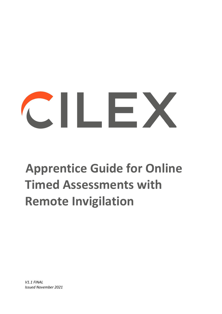# CILEX

# **Apprentice Guide for Online Timed Assessments with Remote Invigilation**

*V1.1 FINAL Issued November 2021*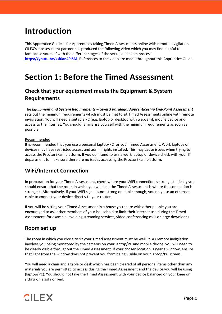### **Introduction**

This Apprentice Guide is for Apprentices taking Timed Assessments online with remote invigilation. CILEX's e-assessment partner has produced the following video which you may find helpful to familiarise yourself with the different stages of the set up and exam process: **[https://youtu.be/xsi0an49ISM](https://eur02.safelinks.protection.outlook.com/?url=https%3A%2F%2Fyoutu.be%2Fxsi0an49ISM&data=02%7C01%7Camanda.pipe%40cilex.org.uk%7C53dc72ed0345416100ee08d8184a95d6%7C9096e35ab9874b109fed671978bc83e8%7C1%7C1%7C637286057701785840&sdata=S9N4kSR0amQVhRiAzTB8cMcIyVpWFodiGfFeYZuSDNE%3D&reserved=0)**. References to the video are made throughout this Apprentice Guide.

# **Section 1: Before the Timed Assessment**

#### **Check that your equipment meets the Equipment & System Requirements**

The *Equipment and System Requirements – Level 3 Paralegal Apprenticeship End-Point Assessment* sets out the minimum requirements which must be met to sit Timed Assessments online with remote invigilation. You will need a suitable PC (e.g. laptop or desktop with webcam), mobile device and access to the internet. You should familiarise yourself with the minimum requirements as soon as possible.

#### Recommended

It is recommended that you use a personal laptop/PC for your Timed Assessment. Work laptops or devices may have restricted access and admin rights installed. This may cause issues when trying to access the ProctorExam platform. If you do intend to use a work laptop or device check with your IT department to make sure there are no issues accessing the ProctorExam platform.

#### **WiFi/Internet Connection**

In preparation for your Timed Assessment, check where your WiFi connection is strongest. Ideally you should ensure that the room in which you will take the Timed Assessment is where the connection is strongest. Alternatively, if your WIFI signal is not strong or stable enough, you may use an ethernet cable to connect your device directly to your router.

If you will be sitting your Timed Assessment in a house you share with other people you are encouraged to ask other members of your household to limit their internet use during the Timed Assessment, for example, avoiding streaming services, video conferencing calls or large downloads.

#### **Room set up**

The room in which you chose to sit your Timed Assessment must be well lit. As remote invigilation involves you being monitored by the cameras on your laptop/PC and mobile device, you will need to be clearly visible throughout the Timed Assessment. If your chosen location is near a window, ensure that light from the window does not prevent you from being visible on your laptop/PC screen.

You will need a chair and a table or desk which has been cleared of all personal items other than any materials you are permitted to access during the Timed Assessment and the device you will be using (laptop/PC). You should not take the Timed Assessment with your device balanced on your knee or sitting on a sofa or bed.

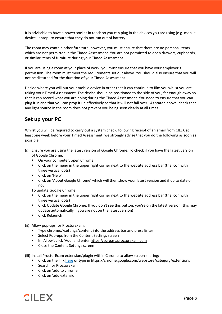It is advisable to have a power socket in reach so you can plug in the devices you are using (e.g. mobile device, laptop) to ensure that they do not run out of battery.

The room may contain other furniture; however, you must ensure that there are no personal items which are not permitted in the Timed Assessment. You are not permitted to open drawers, cupboards, or similar items of furniture during your Timed Assessment.

If you are using a room at your place of work, you must ensure that you have your employer's permission. The room must meet the requirements set out above. You should also ensure that you will not be disturbed for the duration of your Timed Assessment.

Decide where you will put your mobile device in order that it can continue to film you whilst you are taking your Timed Assessment. The device should be positioned to the side of you, far enough away so that it can record what you are doing during the Timed Assessment. You need to ensure that you can plug it in and that you can prop it up effectively so that it will not fall over. As stated above, check that any light source in the room does not prevent you being seen clearly at all times.

#### **Set up your PC**

Whilst you will be required to carry out a system check, following receipt of an email from CILEX at least one week before your Timed Assessment, we strongly advise that you do the following as soon as possible:

- (i) Ensure you are using the latest version of Google Chrome. To check if you have the latest version of Google Chrome:
	- On your computer, open Chrome
	- **EXTENDING** Click on the menu in the upper right corner next to the website address bar (the icon with three vertical dots)
	- **E** Click on 'Help'
	- Click on 'About Google Chrome' which will then show your latest version and if up to date or not

To update Google Chrome:

- Click on the menu in the upper right corner next to the website address bar (the icon with three vertical dots)
- Click Update Google Chrome. If you don't see this button, you're on the latest version (this may update automatically if you are not on the latest version)
- **E** Click Relaunch
- (ii) Allow pop-ups for ProctorExam:
	- Type chrome://settings/content into the address bar and press Enter
	- Select Pop-ups from the Content Settings screen
	- In 'Allow', click 'Add' and enter [https://surpass.proctorexam.com](https://surpass.proctorexam.com/)
	- **EXECO** Close the Content Settings screen

(iii) Install ProctorExam extension/plugin within Chrome to allow screen sharing:

- Click on the link **[here](https://chrome.google.com/webstore/detail/proctorexam-screen-sharin/digojkgonhgmnohbapdfjllpnmjmdhpg)** or type in https://chrome.google.com/webstore/category/extensions
- Search for ProctorExam
- **EXECL** Click on 'add to chrome'
- **Click on 'add extension'**

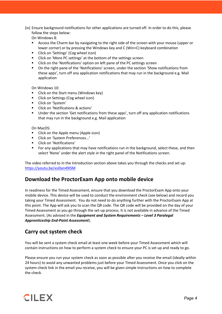(iv) Ensure background notifications for other applications are turned off. In order to do this, please follow the steps below:

On Windows 8:

- Access the Charm bar by navigating to the right side of the screen with your mouse (upper or lower corner) or by pressing the Windows key and C (Win+C) keyboard combination
- Click on 'Settings' (Cog wheel icon)
- **EXECLICE ON THE PUR INCOCO EXECLICE A** Click on 'More PC settings screen
- **EXECLICE ON THE 'Notifications' option on left pane of the PC settings screen**
- On the right pane of the 'Notifications' screen, under the section 'Show notifications from these apps', turn off any application notifications that may run in the background e.g. Mail application

On Windows 10:

- Click on the Start menu (Windows key)
- Click on Settings (Cog wheel icon)
- Click on 'System'
- Click on 'Notifications & actions'
- Under the section 'Get notifications from these apps', turn off any application notifications that may run in the background e.g. Mail application

On MacOS:

- **E** Click on the Apple menu (Apple icon)
- Click on 'System Preferences...'
- Click on 'Notifications'
- For any applications that may have notifications run in the background, select these, and then select 'None' under the alert style in the right panel of the Notifications screen.

The video referred to in the Introduction section above takes you through the checks and set up: [https://youtu.be/xsi0an49ISM](https://eur02.safelinks.protection.outlook.com/?url=https%3A%2F%2Fyoutu.be%2Fxsi0an49ISM&data=02%7C01%7Camanda.pipe%40cilex.org.uk%7C53dc72ed0345416100ee08d8184a95d6%7C9096e35ab9874b109fed671978bc83e8%7C1%7C1%7C637286057701785840&sdata=S9N4kSR0amQVhRiAzTB8cMcIyVpWFodiGfFeYZuSDNE%3D&reserved=0)

#### **Download the ProctorExam App onto mobile device**

In readiness for the Timed Assessment, ensure that you download the ProctorExam App onto your mobile device. This device will be used to conduct the environment check (see below) and record you taking your Timed Assessment. You do not need to do anything further with the ProctorExam App at this point. The App will ask you to scan the QR code. The QR code will be provided on the day of your Timed Assessment as you go through the set-up process. It is not available in advance of the Timed Assessment. (As advised in the *Equipment and System Requirements – Level 3 Paralegal Apprenticeship End-Point Assessment*).

#### **Carry out system check**

You will be sent a system check email at least one week before your Timed Assessment which will contain instructions on how to perform a system check to ensure your PC is set up and ready to go.

Please ensure you run your system check as soon as possible after you receive the email (ideally within 24 hours) to avoid any unwanted problems just before your Timed Assessment. Once you click on the system check link in the email you receive, you will be given simple instructions on how to complete the check.

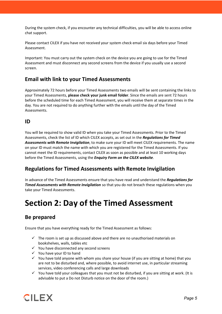During the system check, if you encounter any technical difficulties, you will be able to access online chat support.

Please contact CILEX if you have not received your system check email six days before your Timed Assessment.

Important: You must carry out the system check on the device you are going to use for the Timed Assessment and must disconnect any second screens from the device if you usually use a second screen.

#### **Email with link to your Timed Assessments**

Approximately 72 hours before your Timed Assessments two emails will be sent containing the links to your Timed Assessments, **please check your junk email folder**. Since the emails are sent 72 hours before the scheduled time for each Timed Assessment, you will receive them at separate times in the day. You are not required to do anything further with the emails until the day of the Timed Assessments.

#### **ID**

You will be required to show valid ID when you take your Timed Assessments. Prior to the Timed Assessments, check the list of ID which CILEX accepts, as set out in the *Regulations for Timed Assessments with Remote Invigilation*, to make sure your ID will meet CILEX requirements. The name on your ID must match the name with which you are registered for the Timed Assessments. If you cannot meet the ID requirements, contact CILEX as soon as possible and at least 10 working days before the Timed Assessments, using the *Enquiry Form on the CILEX website*.

#### **Regulations for Timed Assessments with Remote Invigilation**

In advance of the Timed Assessments ensure that you have read and understand the *Regulations for Timed Assessments with Remote Invigilation* so that you do not breach these regulations when you take your Timed Assessments.

# **Section 2: Day of the Timed Assessment**

#### **Be prepared**

Ensure that you have everything ready for the Timed Assessment as follows:

- $\checkmark$  The room is set up as discussed above and there are no unauthorised materials on bookshelves, walls, tables etc
- $\checkmark$  You have disconnected any second screens
- $\checkmark$  You have your ID to hand
- $\checkmark$  You have told anyone with whom you share your house (if you are sitting at home) that you are not to be disturbed and, where possible, to avoid internet use, in particular streaming services, video conferencing calls and large downloads
- $\checkmark$  You have told your colleagues that you must not be disturbed, if you are sitting at work. (It is advisable to put a Do not Disturb notice on the door of the room.)

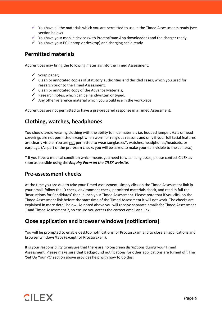- $\checkmark$  You have all the materials which you are permitted to use in the Timed Assessments ready (see section below)
- $\checkmark$  You have your mobile device (with ProctorExam App downloaded) and the charger ready
- $\checkmark$  You have your PC (laptop or desktop) and charging cable ready

#### **Permitted materials**

Apprentices may bring the following materials into the Timed Assessment:

- $\checkmark$  Scrap paper;
- $\checkmark$  Clean or annotated copies of statutory authorities and decided cases, which you used for research prior to the Timed Assessment;
- $\checkmark$  Clean or annotated copy of the Advance Materials;
- $\checkmark$  Research notes, which can be handwritten or typed,
- $\checkmark$  Any other reference material which you would use in the workplace.

Apprentices are not permitted to have a pre-prepared response in a Timed Assessment.

#### **Clothing, watches, headphones**

You should avoid wearing clothing with the ability to hide materials i.e. hooded jumper. Hats or head coverings are not permitted except when worn for religious reasons and only if your full facial features are clearly visible. You are not permitted to wear sunglasses\*, watches, headphones/headsets, or earplugs. (As part of the pre-exam checks you will be asked to make your ears visible to the camera.)

\* If you have a medical condition which means you need to wear sunglasses, please contact CILEX as soon as possible using the *Enquiry Form on the CILEX website*.

#### **Pre-assessment checks**

At the time you are due to take your Timed Assessment, simply click on the Timed Assessment link in your email, follow the ID check, environment check, permitted materials check, and read in full the 'Instructions for Candidates' then launch your Timed Assessment. Please note that if you click on the Timed Assessment link before the start time of the Timed Assessment it will not work. The checks are explained in more detail below. As noted above you will receive separate emails for Timed Assessment 1 and Timed Assessment 2, so ensure you access the correct email and link.

#### **Close application and browser windows (notifications)**

You will be prompted to enable desktop notifications for ProctorExam and to close all applications and browser windows/tabs (except for ProctorExam).

It is your responsibility to ensure that there are no onscreen disruptions during your Timed Assessment. Please make sure that background notifications for other applications are turned off. The 'Set Up Your PC' section above provides help with how to do this.

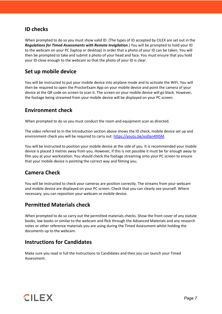#### **ID checks**

When prompted to do so you must show valid ID. (The types of ID accepted by CILEX are set out in the *Regulations for Timed Assessments with Remote Invigilation*.) You will be prompted to hold your ID to the webcam on your PC (laptop or desktop) in order that a photo of your ID can be taken. You will then be prompted to take and submit a photo of your head and face. You must ensure that you hold your ID close enough to the webcam so that the photo of your ID is clear.

#### **Set up mobile device**

You will be instructed to put your mobile device into airplane mode and to activate the WiFi. You will then be required to open the ProctorExam App on your mobile device and point the camera of your device at the QR code on screen to scan it. The screen on your mobile device will go black. However, the footage being streamed from your mobile device will be displayed on your PC screen.

#### **Environment check**

When prompted to do so you must conduct the room and equipment scan as directed.

The video referred to in the Introduction section above shows the ID check, mobile device set up and environment check you will be required to carry out: [https://youtu.be/xsi0an49ISM.](https://eur02.safelinks.protection.outlook.com/?url=https%3A%2F%2Fyoutu.be%2Fxsi0an49ISM&data=02%7C01%7Camanda.pipe%40cilex.org.uk%7C53dc72ed0345416100ee08d8184a95d6%7C9096e35ab9874b109fed671978bc83e8%7C1%7C1%7C637286057701785840&sdata=S9N4kSR0amQVhRiAzTB8cMcIyVpWFodiGfFeYZuSDNE%3D&reserved=0)

You will be instructed to position your mobile device at the side of you. It is recommended your mobile device is placed 3 metres away from you. However, if this is not possible it must be far enough away to film you at your workstation. You should check the footage streaming onto your PC screen to ensure that your mobile device is pointing the correct way and filming you.

#### **Camera Check**

You will be instructed to check your cameras are position correctly. The streams from your webcam and mobile device are displayed on your PC screen. Check that you can clearly see yourself. Where necessary, you can reposition your webcam or mobile device.

#### **Permitted Materials check**

When prompted to do so carry out the permitted materials checks. Show the front cover of any statute books, law books or similar to the webcam and flick through the Advanced Materials and any research notes or other reference materials you are using during the Timed Assessment whilst holding the documents up to the webcam.

#### **Instructions for Candidates**

Make sure you read in full the Instructions to Candidates and then you can launch your Timed Assessment.

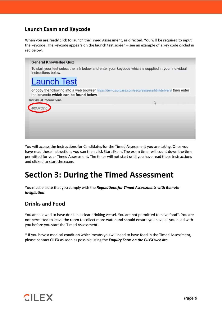#### **Launch Exam and Keycode**

When you are ready click to launch the Timed Assessment, as directed. You will be required to input the keycode. The keycode appears on the launch test screen – see an example of a key code circled in red below.



You will access the Instructions for Candidates for the Timed Assessment you are taking. Once you have read these instructions you can then click Start Exam. The exam timer will count down the time permitted for your Timed Assessment. The timer will not start until you have read these instructions and clicked to start the exam.

# **Section 3: During the Timed Assessment**

You must ensure that you comply with the *Regulations for Timed Assessments with Remote Invigilation*.

#### **Drinks and Food**

You are allowed to have drink in a clear drinking vessel. You are not permitted to have food\*. You are not permitted to leave the room to collect more water and should ensure you have all you need with you before you start the Timed Assessment.

\* If you have a medical condition which means you will need to have food in the Timed Assessment, please contact CILEX as soon as possible using the *Enquiry Form on the CILEX website*.

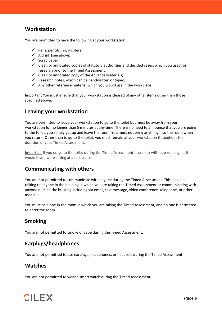#### **Workstation**

You are permitted to have the following at your workstation:

- $\checkmark$  Pens, pencils, highlighters
- $\checkmark$  A drink (see above)
- $\checkmark$  Scrap paper;
- $\checkmark$  Clean or annotated copies of statutory authorities and decided cases, which you used for research prior to the Timed Assessment;
- $\checkmark$  Clean or annotated copy of the Advance Materials;
- $\checkmark$  Research notes, which can be handwritten or typed,
- $\checkmark$  Any other reference material which you would use in the workplace.

Important You must ensure that your workstation is cleared of any other items other than those specified above.

#### **Leaving your workstation**

You are permitted to leave your workstation to go to the toilet but must be away from your workstation for no longer than 5 minutes at any time. There is no need to announce that you are going to the toilet, you simply get up and leave the room. You must not bring anything into the room when you return. Other than to go to the toilet, you must remain at your workstation throughout the duration of your Timed Assessment.

Important If you do go to the toilet during the Timed Assessment, the clock will keep running, as it would if you were sitting at a test centre.

#### **Communicating with others**

You are not permitted to communicate with anyone during the Timed Assessment. This includes talking to anyone in the building in which you are taking the Timed Assessment or communicating with anyone outside the building including via email, text message, video conference, telephone, or other media.

You must be alone in the room in which you are taking the Timed Assessment, and no one is permitted to enter the room.

#### **Smoking**

You are not permitted to smoke or vape during the Timed Assessment.

#### **Earplugs/headphones**

You are not permitted to use earplugs, headphones, or headsets during the Timed Assessment.

#### **Watches**

You are not permitted to wear a smart watch during the Timed Assessment.